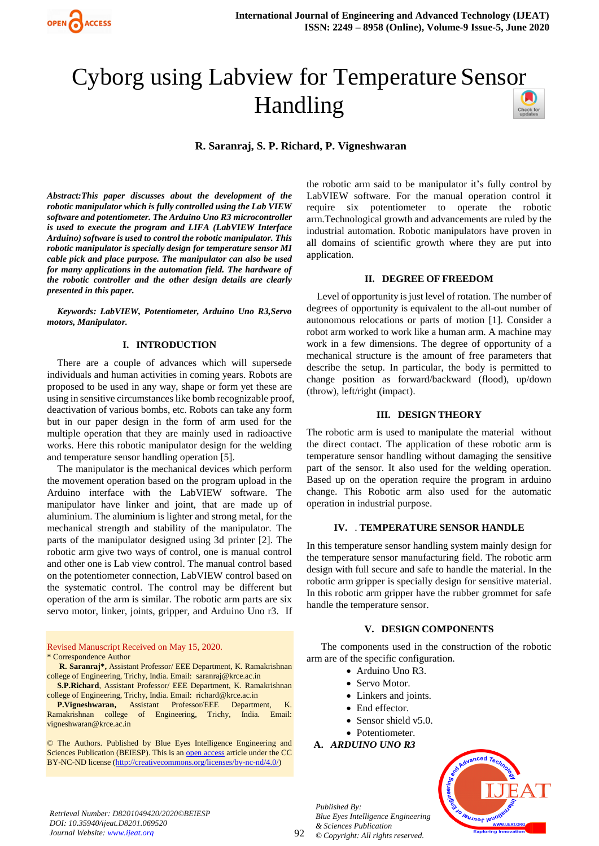

# Cyborg using Labview for Temperature Sens[or](https://crossmark.crossref.org/dialog/?doi=10.35940/ijeat.D8201.069520&domain=www.ijeat.org)  Handling

**R. Saranraj, S. P. Richard, P. Vigneshwaran**

*Abstract:This paper discusses about the development of the robotic manipulator which is fully controlled using the Lab VIEW software and potentiometer. The Arduino Uno R3 microcontroller is used to execute the program and LIFA (LabVIEW Interface Arduino) software is used to control the robotic manipulator. This robotic manipulator is specially design for temperature sensor MI cable pick and place purpose. The manipulator can also be used for many applications in the automation field. The hardware of the robotic controller and the other design details are clearly presented in this paper.*

*Keywords: LabVIEW, Potentiometer, Arduino Uno R3,Servo motors, Manipulator.*

## **I. INTRODUCTION**

There are a couple of advances which will supersede individuals and human activities in coming years. Robots are proposed to be used in any way, shape or form yet these are using in sensitive circumstances like bomb recognizable proof, deactivation of various bombs, etc. Robots can take any form but in our paper design in the form of arm used for the multiple operation that they are mainly used in radioactive works. Here this robotic manipulator design for the welding and temperature sensor handling operation [5].

The manipulator is the mechanical devices which perform the movement operation based on the program upload in the Arduino interface with the LabVIEW software. The manipulator have linker and joint, that are made up of aluminium. The aluminium is lighter and strong metal, for the mechanical strength and stability of the manipulator. The parts of the manipulator designed using 3d printer [2]. The robotic arm give two ways of control, one is manual control and other one is Lab view control. The manual control based on the potentiometer connection, LabVIEW control based on the systematic control. The control may be different but operation of the arm is similar. The robotic arm parts are six servo motor, linker, joints, gripper, and Arduino Uno r3. If

Revised Manuscript Received on May 15, 2020. \* Correspondence Author

**R. Saranraj\*,** Assistant Professor/ EEE Department, K. Ramakrishnan college of Engineering, Trichy, India. Email: saranraj@krce.ac.in

**S.P.Richard**, Assistant Professor/ EEE Department, K. Ramakrishnan college of Engineering, Trichy, India. Email: [richard@krce.ac.in](mailto:richard@krce.ac.in)

**P.Vigneshwaran,** Assistant Professor/EEE Department, K. Ramakrishnan college of Engineering, Trichy, India. Email: [vigneshwaran@krce.ac.in](mailto:vigneshwaran@krce.ac.in)

© The Authors. Published by Blue Eyes Intelligence Engineering and Sciences Publication (BEIESP). This is an [open access](https://www.openaccess.nl/en/open-publications) article under the CC BY-NC-ND license [\(http://creativecommons.org/licenses/by-nc-nd/4.0/\)](http://creativecommons.org/licenses/by-nc-nd/4.0/)

the robotic arm said to be manipulator it's fully control by LabVIEW software. For the manual operation control it require six potentiometer to operate the robotic arm.Technological growth and advancements are ruled by the industrial automation. Robotic manipulators have proven in all domains of scientific growth where they are put into application.

#### **II. DEGREE OF FREEDOM**

Level of opportunity is just level of rotation. The number of degrees of opportunity is equivalent to the all-out number of autonomous relocations or parts of motion [1]. Consider a robot arm worked to work like a human arm. A machine may work in a few dimensions. The degree of opportunity of a mechanical structure is the amount of free parameters that describe the setup. In particular, the body is permitted to change position as forward/backward (flood), up/down (throw), left/right (impact).

## **III. DESIGN THEORY**

The robotic arm is used to manipulate the material without the direct contact. The application of these robotic arm is temperature sensor handling without damaging the sensitive part of the sensor. It also used for the welding operation. Based up on the operation require the program in arduino change. This Robotic arm also used for the automatic operation in industrial purpose.

## **IV.** . **TEMPERATURE SENSOR HANDLE**

In this temperature sensor handling system mainly design for the temperature sensor manufacturing field. The robotic arm design with full secure and safe to handle the material. In the robotic arm gripper is specially design for sensitive material. In this robotic arm gripper have the rubber grommet for safe handle the temperature sensor.

#### **V. DESIGN COMPONENTS**

The components used in the construction of the robotic arm are of the specific configuration.

- Arduino Uno R3.
- Servo Motor.
- Linkers and joints.
- End effector.
- Sensor shield v5.0.
- Potentiometer.

# **A.** *ARDUINO UNO R3*



*Retrieval Number: D8201049420/2020©BEIESP DOI: 10.35940/ijeat.D8201.069520 Journal Website: www.ijeat.org*

92

*Published By: Blue Eyes Intelligence Engineering & Sciences Publication © Copyright: All rights reserved.*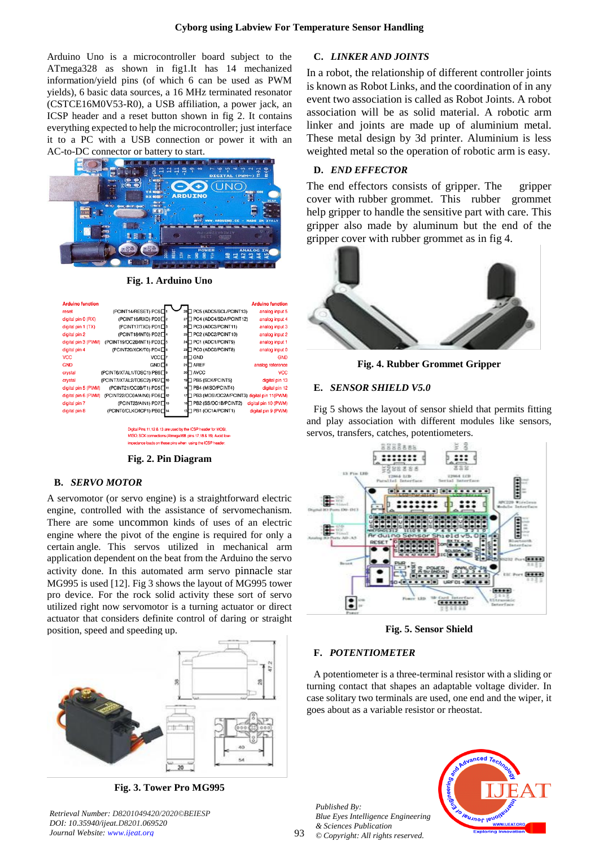Arduino Uno is a microcontroller board subject to the ATmega328 as shown in fig1.It has 14 mechanized information/yield pins (of which 6 can be used as PWM yields), 6 basic data sources, a 16 MHz terminated resonator (CSTCE16M0V53-R0), a USB affiliation, a power jack, an ICSP header and a reset button shown in fig 2. It contains everything expected to help the microcontroller; just interface it to a PC with a USB connection or power it with an AC-to-DC connector or battery to start.



**Fig. 1. Arduino Uno**

| <b>Arduino function</b> |                                       |    |                                            | <b>Arduino function</b> |
|-------------------------|---------------------------------------|----|--------------------------------------------|-------------------------|
| reset                   | (PCINT14/RESET) PC6D                  | 28 | PC5 (ADC5/SCL/PCINT13)                     | analog input 5          |
| digital pin 0 (RX)      | (PCINT16/RXD) PD0□2                   | 27 | PC4 (ADC4/SDA/PCINT12)                     | analog input 4          |
| digital pin 1 (TX)      | (PCINT17/TXD) PD1□3                   | 26 | PC3 (ADC3/PCINT11)                         | analog input 3          |
| digital pin 2           | (PCINT18/INT0) PD2 <sup>4</sup>       |    | 25 PC2 (ADC2/PCINT10)                      | analog input 2          |
| digital pin 3 (PWM)     | (PCINT19/OC2B/INT1) PD3               | 24 | PC1 (ADC1/PCINT9)                          | analog input 1          |
| digital pin 4           | (PCINT20/XCK/T0) PD4□6                | 23 | PC0 (ADC0/PCINT8)                          | analog input 0          |
| <b>VCC</b>              | VCC <sub>1</sub>                      |    | $22 \square$ GND                           | <b>GND</b>              |
| <b>GND</b>              | $GND \Box$ <sup>8</sup>               |    | $21$ $\Box$ AREF                           | analog reference        |
| crystal                 | (PCINT6/XTAL1/TOSC1) PB6□9            |    | 20 AVCC                                    | <b>VCC</b>              |
| crystal                 | (PCINT7/XTAL2/TOSC2) PB7□10           |    | 19 PB5 (SCK/PCINT5)                        | digital pin 13          |
| digital pin 5 (PWM)     | (PCINT21/OC0B/T1) PD5□11              |    | 18 PB4 (MISO/PCINT4)                       | digital pin 12          |
| digital pin 6 (PWM)     | (PCINT22/OC0A/AIN0) PD6 <sup>12</sup> | 17 | PB3 (MOSI/OC2A/PCINT3) digital pin 11(PWM) |                         |
| digital pin 7           | (PCINT23/AIN1) PD7□13                 |    | 16 PB2 (SS/OC1B/PCINT2)                    | digital pin 10 (PWM)    |
| digital pin 8           | (PCINT0/CLKO/ICP1) PB0□14             |    | 15 <sup>D</sup> PB1 (OC1A/PCINT1)          | digital pin 9 (PWM)     |

Digital Pins 11,12 & 13 are used by the ICSP header for MOSI MISO, SCK cor tions (Atmega168 pins 17,18 & 19). Avoid low ese pins when using the ICSP head

**Fig. 2. Pin Diagram**

## **B.** *SERVO MOTOR*

A servomotor (or servo engine) is a straightforward electric engine, controlled with the assistance of servomechanism. There are some uncommon kinds of uses of an electric engine where the pivot of the engine is required for only a certain angle. This servos utilized in mechanical arm application dependent on the beat from the Arduino the servo activity done. In this automated arm servo pinnacle star MG995 is used [12]. Fig 3 shows the layout of MG995 tower pro device. For the rock solid activity these sort of servo utilized right now servomotor is a turning actuator or direct actuator that considers definite control of daring or straight position, speed and speeding up.



**Fig. 3. Tower Pro MG995**

*Retrieval Number: D8201049420/2020©BEIESP DOI: 10.35940/ijeat.D8201.069520 Journal Website: www.ijeat.org*

# **C.** *LINKER AND JOINTS*

In a robot, the relationship of different controller joints is known as Robot Links, and the coordination of in any event two association is called as Robot Joints. A robot association will be as solid material. A robotic arm linker and joints are made up of aluminium metal. These metal design by 3d printer. Aluminium is less weighted metal so the operation of robotic arm is easy.

## **D.** *END EFFECTOR*

The end effectors consists of gripper. The gripper cover with rubber grommet. This rubber grommet help gripper to handle the sensitive part with care. This gripper also made by aluminum but the end of the gripper cover with rubber grommet as in fig 4.



**Fig. 4. Rubber Grommet Gripper**

#### **E.** *SENSOR SHIELD V5.0*

Fig 5 shows the layout of sensor shield that permits fitting and play association with different modules like sensors, servos, transfers, catches, potentiometers.



**Fig. 5. Sensor Shield**

## **F.** *POTENTIOMETER*

A potentiometer is a three-terminal resistor with a sliding or turning contact that shapes an adaptable voltage divider. In case solitary two terminals are used, one end and the wiper, it goes about as a variable resistor or rheostat.

*Published By: Blue Eyes Intelligence Engineering & Sciences Publication © Copyright: All rights reserved.*

93

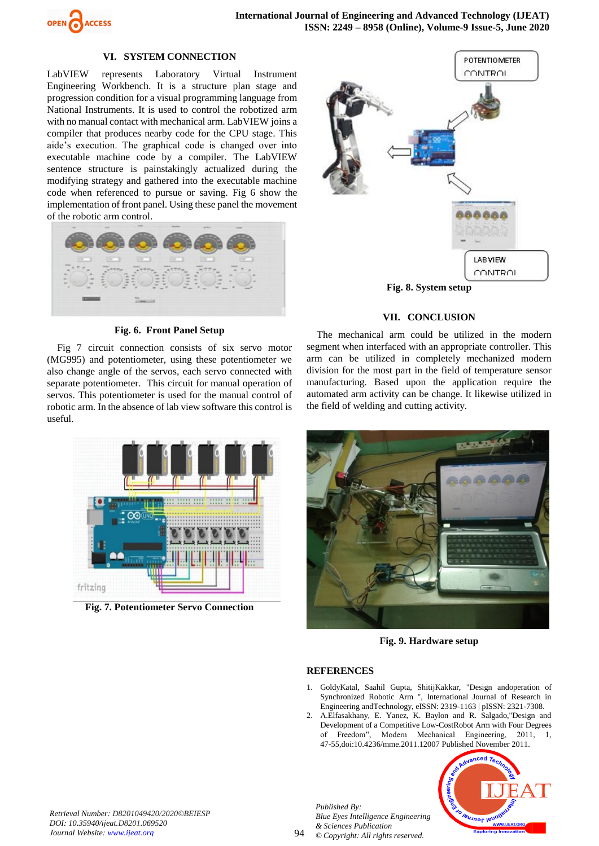

## **VI. SYSTEM CONNECTION**

LabVIEW represents Laboratory Virtual Instrument Engineering Workbench. It is a structure plan stage and progression condition for a visual programming language from National Instruments. It is used to control the robotized arm with no manual contact with mechanical arm. LabVIEW joins a compiler that produces nearby code for the CPU stage. This aide's execution. The graphical code is changed over into executable machine code by a compiler. The LabVIEW sentence structure is painstakingly actualized during the modifying strategy and gathered into the executable machine code when referenced to pursue or saving. Fig 6 show the implementation of front panel. Using these panel the movement of the robotic arm control.



#### **Fig. 6. Front Panel Setup**

Fig 7 circuit connection consists of six servo motor (MG995) and potentiometer, using these potentiometer we also change angle of the servos, each servo connected with separate potentiometer. This circuit for manual operation of servos. This potentiometer is used for the manual control of robotic arm. In the absence of lab view software this control is useful.



**Fig. 7. Potentiometer Servo Connection**



# **VII. CONCLUSION**

The mechanical arm could be utilized in the modern segment when interfaced with an appropriate controller. This arm can be utilized in completely mechanized modern division for the most part in the field of temperature sensor manufacturing. Based upon the application require the automated arm activity can be change. It likewise utilized in the field of welding and cutting activity.



**Fig. 9. Hardware setup**

## **REFERENCES**

- 1. GoldyKatal, Saahil Gupta, ShitijKakkar, "Design andoperation of Synchronized Robotic Arm ", International Journal of Research in Engineering andTechnology, eISSN: 2319-1163 | pISSN: 2321-7308.
- 2. A.Elfasakhany, E. Yanez, K. Baylon and R. Salgado,"Design and Development of a Competitive Low-CostRobot Arm with Four Degrees of Freedom", Modern Mechanical Engineering, 2011, 1, 47-55,doi:10.4236/mme.2011.12007 Published November 2011.



*Retrieval Number: D8201049420/2020©BEIESP DOI: 10.35940/ijeat.D8201.069520 Journal Website: www.ijeat.org*

*Published By: Blue Eyes Intelligence Engineering & Sciences Publication © Copyright: All rights reserved.*